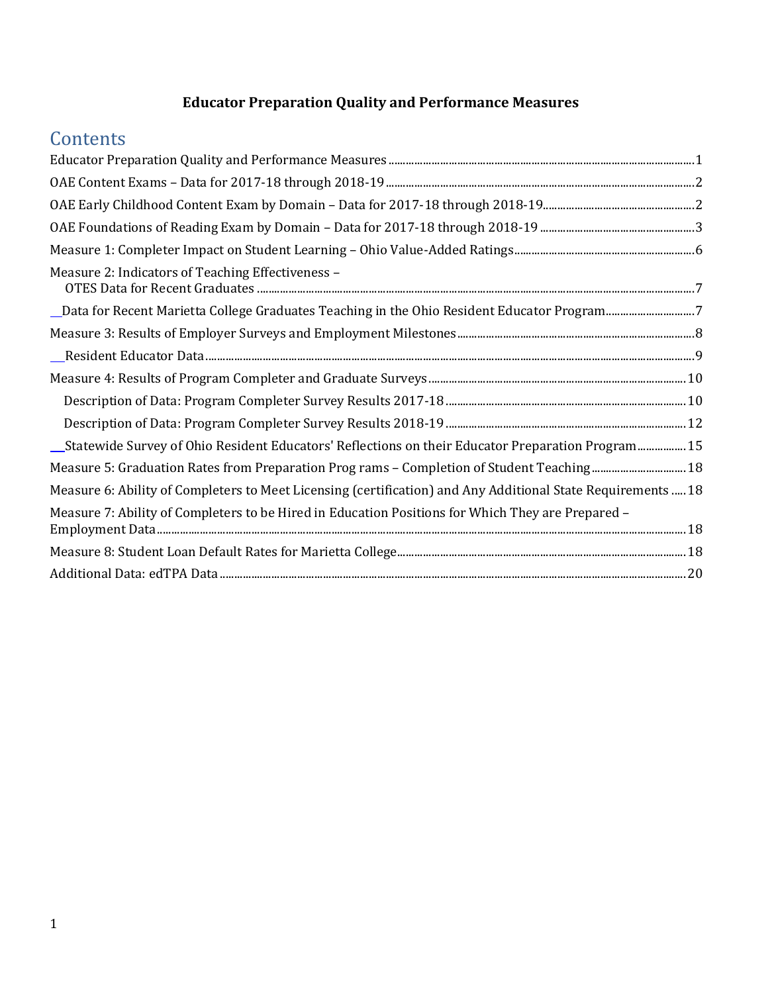## **Educator Preparation Quality and Performance Measures**

# <span id="page-0-0"></span>**Contents**

| Measure 2: Indicators of Teaching Effectiveness -                                                            |  |
|--------------------------------------------------------------------------------------------------------------|--|
| Data for Recent Marietta College Graduates Teaching in the Ohio Resident Educator Program7                   |  |
|                                                                                                              |  |
|                                                                                                              |  |
|                                                                                                              |  |
|                                                                                                              |  |
|                                                                                                              |  |
| Statewide Survey of Ohio Resident Educators' Reflections on their Educator Preparation Program15             |  |
| Measure 5: Graduation Rates from Preparation Prog rams - Completion of Student Teaching 18                   |  |
| Measure 6: Ability of Completers to Meet Licensing (certification) and Any Additional State Requirements  18 |  |
| Measure 7: Ability of Completers to be Hired in Education Positions for Which They are Prepared -            |  |
|                                                                                                              |  |
|                                                                                                              |  |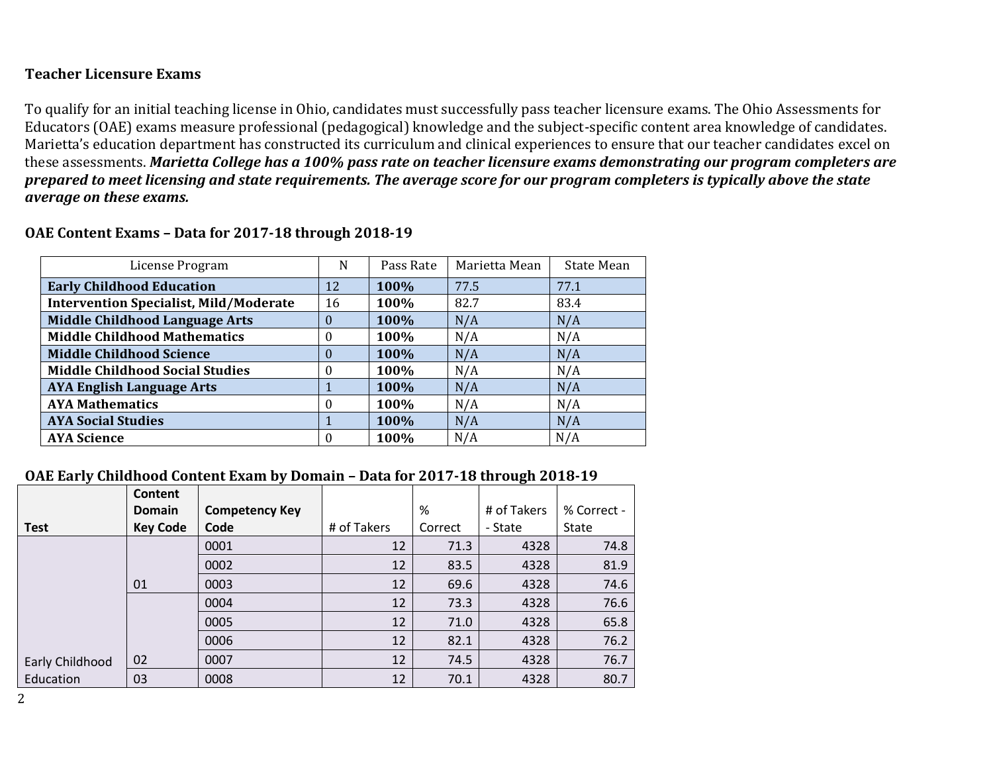## **Teacher Licensure Exams**

To qualify for an initial teaching license in Ohio, candidates must successfully pass teacher licensure exams. The Ohio Assessments for Educators (OAE) exams measure professional (pedagogical) knowledge and the subject-specific content area knowledge of candidates. Marietta's education department has constructed its curriculum and clinical experiences to ensure that our teacher candidates excel on these assessments. *Marietta College has a 100% pass rate on teacher licensure exams demonstrating our program completers are prepared to meet licensing and state requirements. The average score for our program completers is typically above the state average on these exams.*

| License Program                               | N        | Pass Rate | Marietta Mean | State Mean |
|-----------------------------------------------|----------|-----------|---------------|------------|
| <b>Early Childhood Education</b>              | 12       | 100%      | 77.5          | 77.1       |
| <b>Intervention Specialist, Mild/Moderate</b> | 16       | 100%      | 82.7          | 83.4       |
| <b>Middle Childhood Language Arts</b>         | $\theta$ | 100%      | N/A           | N/A        |
| <b>Middle Childhood Mathematics</b>           | 0        | 100%      | N/A           | N/A        |
| <b>Middle Childhood Science</b>               | $\Omega$ | 100%      | N/A           | N/A        |
| <b>Middle Childhood Social Studies</b>        | $\Omega$ | 100%      | N/A           | N/A        |
| <b>AYA English Language Arts</b>              |          | 100%      | N/A           | N/A        |
| <b>AYA Mathematics</b>                        | $\Omega$ | 100%      | N/A           | N/A        |
| <b>AYA Social Studies</b>                     |          | 100%      | N/A           | N/A        |
| <b>AYA Science</b>                            | $\Omega$ | 100%      | N/A           | N/A        |

#### **OAE Content Exams – Data for 2017-18 through 2018-19**

#### <span id="page-1-0"></span>**OAE Early Childhood Content Exam by Domain – Data for 2017-18 through 2018-19**

<span id="page-1-1"></span>

|                 | Content         |                       |             |         |             |             |
|-----------------|-----------------|-----------------------|-------------|---------|-------------|-------------|
|                 | Domain          | <b>Competency Key</b> |             | %       | # of Takers | % Correct - |
| <b>Test</b>     | <b>Key Code</b> | Code                  | # of Takers | Correct | - State     | State       |
|                 |                 | 0001                  | 12          | 71.3    | 4328        | 74.8        |
|                 |                 | 0002                  | 12          | 83.5    | 4328        | 81.9        |
|                 | 01              | 0003                  | 12          | 69.6    | 4328        | 74.6        |
|                 |                 | 0004                  | 12          | 73.3    | 4328        | 76.6        |
|                 |                 | 0005                  | 12          | 71.0    | 4328        | 65.8        |
|                 |                 | 0006                  | 12          | 82.1    | 4328        | 76.2        |
| Early Childhood | 02              | 0007                  | 12          | 74.5    | 4328        | 76.7        |
| Education       | 03              | 0008                  | 12          | 70.1    | 4328        | 80.7        |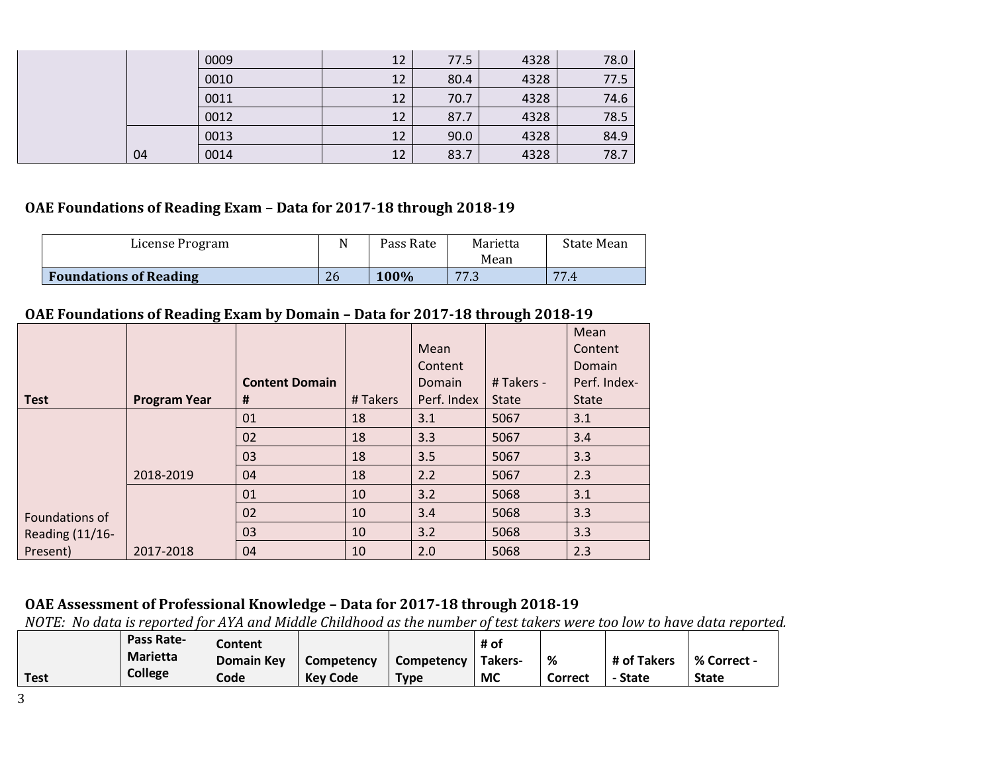|    | 0009 | 12 | 77.5 | 4328 | 78.0 |
|----|------|----|------|------|------|
|    | 0010 | 12 | 80.4 | 4328 | 77.5 |
|    | 0011 | 12 | 70.7 | 4328 | 74.6 |
|    | 0012 | 12 | 87.7 | 4328 | 78.5 |
|    | 0013 | 12 | 90.0 | 4328 | 84.9 |
| 04 | 0014 | 12 | 83.7 | 4328 | 78.7 |

#### **OAE Foundations of Reading Exam – Data for 2017-18 through 2018-19**

| License Program               | N  | Pass Rate   | Marietta<br>Mean | State Mean |
|-------------------------------|----|-------------|------------------|------------|
| <b>Foundations of Reading</b> | 26 | <b>100%</b> | 77.3<br>7.J      | 77.4       |

### **OAE Foundations of Reading Exam by Domain – Data for 2017-18 through 2018-19**

|                 |                     |                       |          |             |              | Mean         |
|-----------------|---------------------|-----------------------|----------|-------------|--------------|--------------|
|                 |                     |                       |          | Mean        |              | Content      |
|                 |                     |                       |          | Content     |              | Domain       |
|                 |                     | <b>Content Domain</b> |          | Domain      | # Takers -   | Perf. Index- |
| <b>Test</b>     | <b>Program Year</b> | Ħ.                    | # Takers | Perf. Index | <b>State</b> | <b>State</b> |
|                 |                     | 01                    | 18       | 3.1         | 5067         | 3.1          |
|                 |                     | 02                    | 18       | 3.3         | 5067         | 3.4          |
|                 |                     | 03                    | 18       | 3.5         | 5067         | 3.3          |
|                 | 2018-2019           | 04                    | 18       | 2.2         | 5067         | 2.3          |
|                 |                     | 01                    | 10       | 3.2         | 5068         | 3.1          |
| Foundations of  |                     | 02                    | 10       | 3.4         | 5068         | 3.3          |
| Reading (11/16- |                     | 03                    | 10       | 3.2         | 5068         | 3.3          |
| Present)        | 2017-2018           | 04                    | 10       | 2.0         | 5068         | 2.3          |

## <span id="page-2-0"></span>**OAE Assessment of Professional Knowledge – Data for 2017-18 through 2018-19**

*NOTE: No data is reported for AYA and Middle Childhood as the number of test takers were too low to have data reported.*

|             | <b>Pass Rate-</b> | Content           |                 |             | # of    |         |             |              |
|-------------|-------------------|-------------------|-----------------|-------------|---------|---------|-------------|--------------|
|             | <b>Marietta</b>   | <b>Domain Key</b> | Competency      | Competency  | Takers- | %       | # of Takers | % Correct -  |
| <b>Test</b> | College           | Codel             | <b>Key Code</b> | <b>Type</b> | МC      | Correct | - State     | <b>State</b> |

3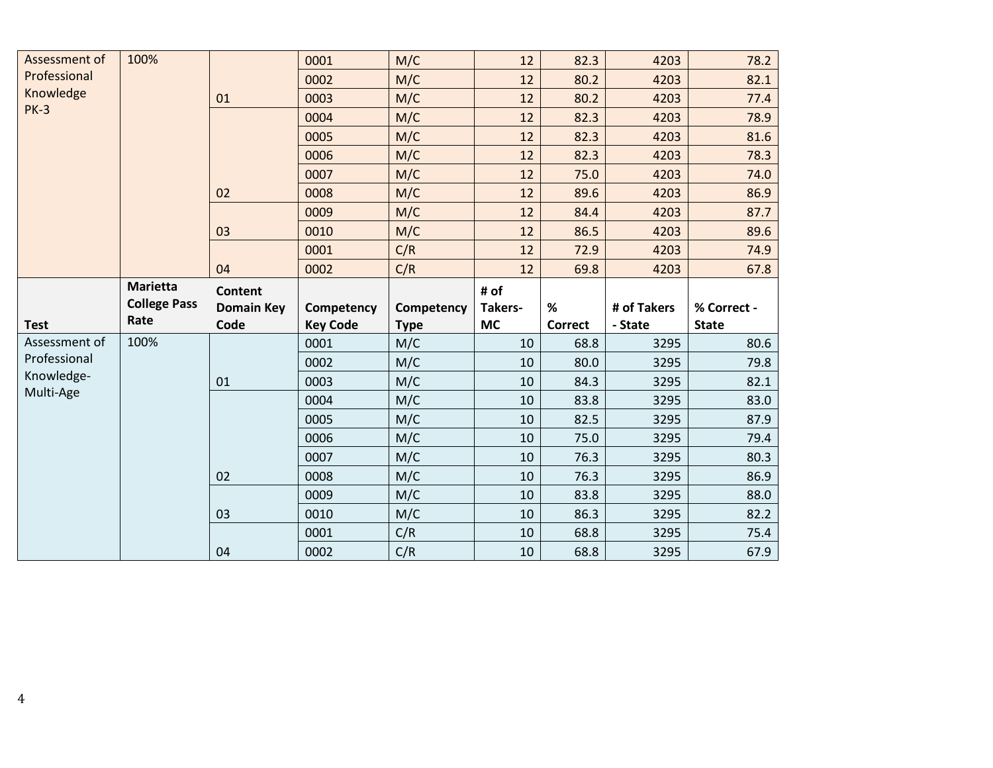| 100%<br>Assessment of<br>M/C<br>0001<br>12<br>82.3                                           | 4203<br>78.2               |
|----------------------------------------------------------------------------------------------|----------------------------|
| Professional<br>M/C<br>0002<br>12<br>80.2                                                    | 4203<br>82.1               |
| Knowledge<br>M/C<br>12<br>80.2<br>0003<br>01                                                 | 4203<br>77.4               |
| <b>PK-3</b><br>0004<br>M/C<br>12<br>82.3                                                     | 4203<br>78.9               |
| 0005<br>M/C<br>82.3<br>12                                                                    | 4203<br>81.6               |
| M/C<br>0006<br>12<br>82.3                                                                    | 4203<br>78.3               |
| M/C<br>0007<br>12<br>75.0                                                                    | 4203<br>74.0               |
| M/C<br>0008<br>12<br>89.6<br>02                                                              | 4203<br>86.9               |
| M/C<br>0009<br>12<br>84.4                                                                    | 4203<br>87.7               |
| 03<br>0010<br>M/C<br>12<br>86.5                                                              | 4203<br>89.6               |
| C/R<br>0001<br>12<br>72.9                                                                    | 4203<br>74.9               |
| C/R<br>04<br>0002<br>12<br>69.8                                                              | 4203<br>67.8               |
|                                                                                              |                            |
| <b>Marietta</b><br># of<br><b>Content</b>                                                    |                            |
| <b>College Pass</b><br>%<br><b>Domain Key</b><br>Competency<br>Competency<br>Takers-         | # of Takers<br>% Correct - |
| Rate<br>Code<br><b>Key Code</b><br><b>MC</b><br><b>Test</b><br><b>Correct</b><br><b>Type</b> | - State<br><b>State</b>    |
| Assessment of<br>100%<br>0001<br>M/C<br>10<br>68.8                                           | 80.6<br>3295               |
| Professional<br>0002<br>M/C<br>10<br>80.0                                                    | 79.8<br>3295               |
| Knowledge-<br>M/C<br>0003<br>01<br>10<br>84.3                                                | 3295<br>82.1               |
| Multi-Age<br>M/C<br>0004<br>10<br>83.8                                                       | 3295<br>83.0               |
| 0005<br>M/C<br>10<br>82.5                                                                    | 3295<br>87.9               |
| M/C<br>0006<br>75.0<br>10                                                                    | 79.4<br>3295               |
| M/C<br>0007<br>10<br>76.3                                                                    | 80.3<br>3295               |
| M/C<br>0008<br>02<br>10<br>76.3                                                              | 3295<br>86.9               |
| M/C<br>0009<br>10<br>83.8                                                                    | 3295<br>88.0               |
| 0010<br>M/C<br>86.3<br>10<br>03                                                              | 3295<br>82.2               |
| C/R<br>0001<br>10<br>68.8                                                                    | 3295<br>75.4               |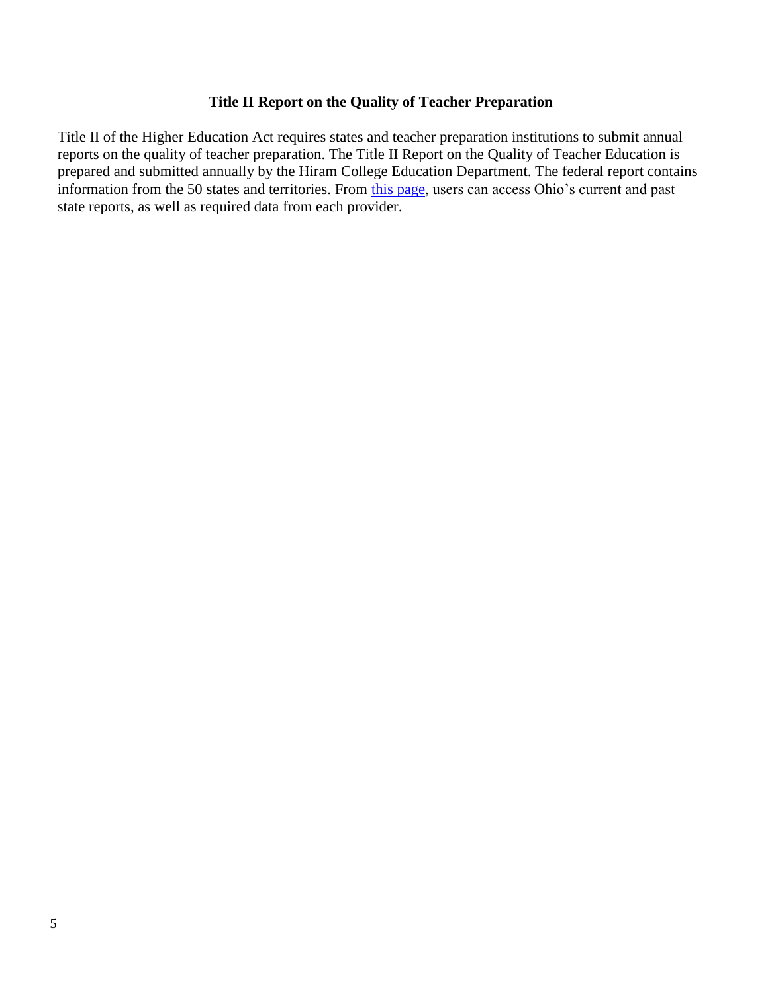#### **Title II Report on the Quality of Teacher Preparation**

Title II of the Higher Education Act requires states and teacher preparation institutions to submit annual reports on the quality of teacher preparation. The Title II Report on the Quality of Teacher Education is prepared and submitted annually by the Hiram College Education Department. The federal report contains information from the 50 states and territories. From [this page,](https://title2.ed.gov/Public/Home.aspx) users can access Ohio's current and past state reports, as well as required data from each provider.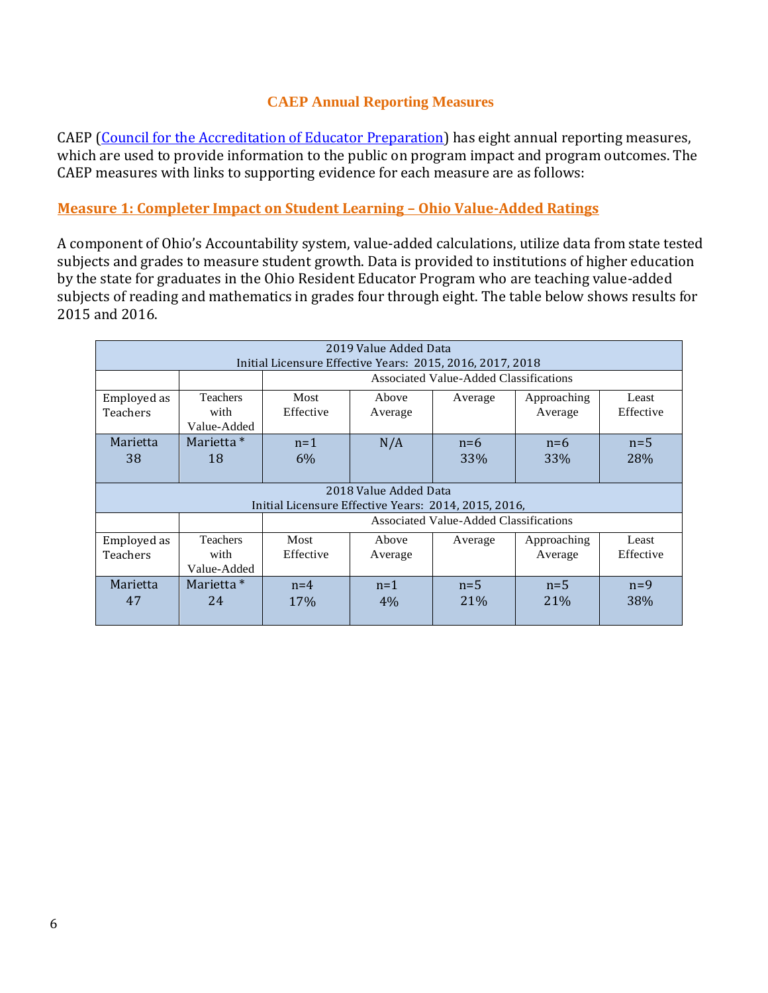## **CAEP Annual Reporting Measures**

CAEP (Council for the Accreditation of Educator Preparation) has eight annual reporting measures, which are used to provide information to the public on program impact and program outcomes. The CAEP measures with links to supporting evidence for each measure are as follows:

## <span id="page-5-0"></span>**Measure 1: Completer Impact on Student Learning – Ohio Value-Added Ratings**

A component of Ohio's Accountability system, value-added calculations, utilize data from state tested subjects and grades to measure student growth. Data is provided to institutions of higher education by the state for graduates in the Ohio Resident Educator Program who are teaching value-added subjects of reading and mathematics in grades four through eight. The table below shows results for 2015 and 2016.

| 2019 Value Added Data<br>Initial Licensure Effective Years: 2015, 2016, 2017, 2018 |                                        |                                                      |                       |                                        |                        |                    |  |  |  |
|------------------------------------------------------------------------------------|----------------------------------------|------------------------------------------------------|-----------------------|----------------------------------------|------------------------|--------------------|--|--|--|
|                                                                                    |                                        |                                                      |                       | Associated Value-Added Classifications |                        |                    |  |  |  |
| Employed as<br>Teachers                                                            | <b>Teachers</b><br>with<br>Value-Added | Most<br>Effective                                    | Above<br>Average      | Average                                | Approaching<br>Average | Least<br>Effective |  |  |  |
| Marietta<br>38                                                                     | Marietta *<br>18                       | $n=1$<br>6%                                          | N/A                   | $n=6$<br>33%                           | $n=6$<br><b>33%</b>    | $n=5$<br>28%       |  |  |  |
|                                                                                    |                                        | Initial Licensure Effective Years: 2014, 2015, 2016, | 2018 Value Added Data |                                        |                        |                    |  |  |  |
|                                                                                    |                                        |                                                      |                       | Associated Value-Added Classifications |                        |                    |  |  |  |
| Employed as<br>Teachers                                                            | <b>Teachers</b><br>with<br>Value-Added | Most<br>Effective                                    | Above<br>Average      | Average                                | Approaching<br>Average | Least<br>Effective |  |  |  |
| Marietta<br>47                                                                     | Marietta *<br>24                       | $n=4$<br>17%                                         | $n=1$<br>4%           | $n=5$<br>21%                           | $n=5$<br>21%           | $n=9$<br>38%       |  |  |  |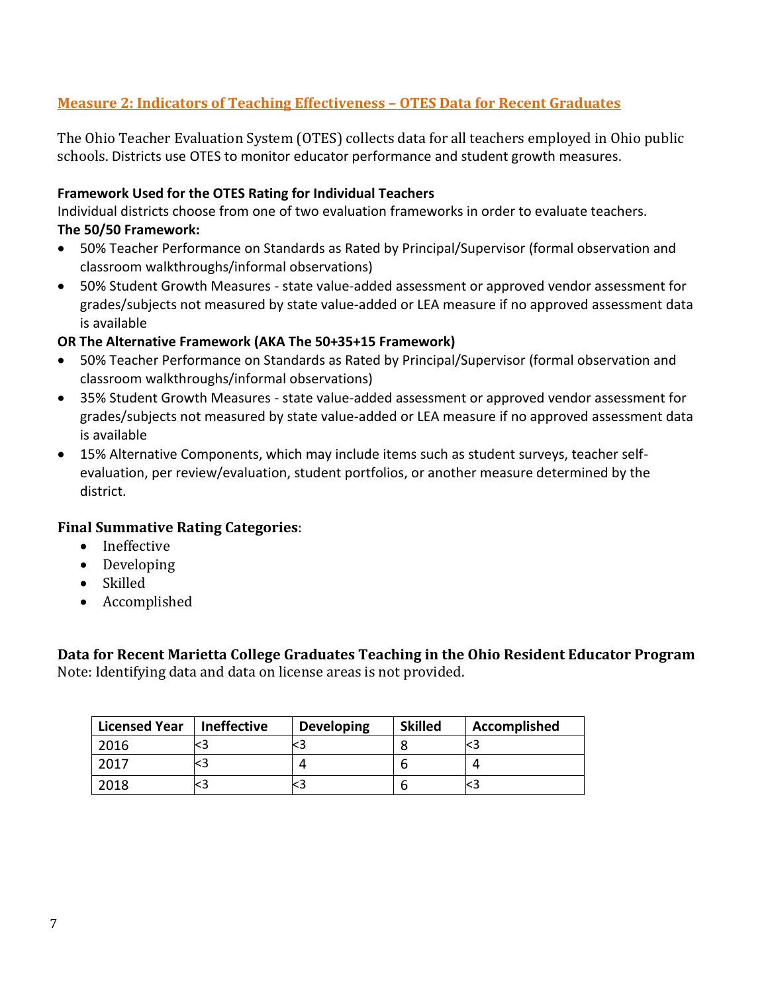## <span id="page-6-0"></span>**Measure 2: Indicators of Teaching Effectiveness – OTES Data for Recent Graduates**

The Ohio Teacher Evaluation System (OTES) collects data for all teachers employed in Ohio public schools. Districts use OTES to monitor educator performance and student growth measures.

#### **Framework Used for the OTES Rating for Individual Teachers**

Individual districts choose from one of two evaluation frameworks in order to evaluate teachers. **The 50/50 Framework:**

- 50% Teacher Performance on Standards as Rated by Principal/Supervisor (formal observation and classroom walkthroughs/informal observations)
- 50% Student Growth Measures state value-added assessment or approved vendor assessment for grades/subjects not measured by state value-added or LEA measure if no approved assessment data is available

#### **OR The Alternative Framework (AKA The 50+35+15 Framework)**

- 50% Teacher Performance on Standards as Rated by Principal/Supervisor (formal observation and classroom walkthroughs/informal observations)
- 35% Student Growth Measures state value-added assessment or approved vendor assessment for grades/subjects not measured by state value-added or LEA measure if no approved assessment data is available
- 15% Alternative Components, which may include items such as student surveys, teacher selfevaluation, per review/evaluation, student portfolios, or another measure determined by the district.

#### **Final Summative Rating Categories**:

- Ineffective
- Developing
- Skilled
- Accomplished

<span id="page-6-1"></span>**Data for Recent Marietta College Graduates Teaching in the Ohio Resident Educator Program** Note: Identifying data and data on license areas is not provided.

| <b>Licensed Year</b> | <b>Ineffective</b> | <b>Developing</b> | <b>Skilled</b> | Accomplished |
|----------------------|--------------------|-------------------|----------------|--------------|
| 2016                 |                    |                   |                |              |
| 2017                 |                    |                   |                |              |
| 2018                 |                    |                   |                |              |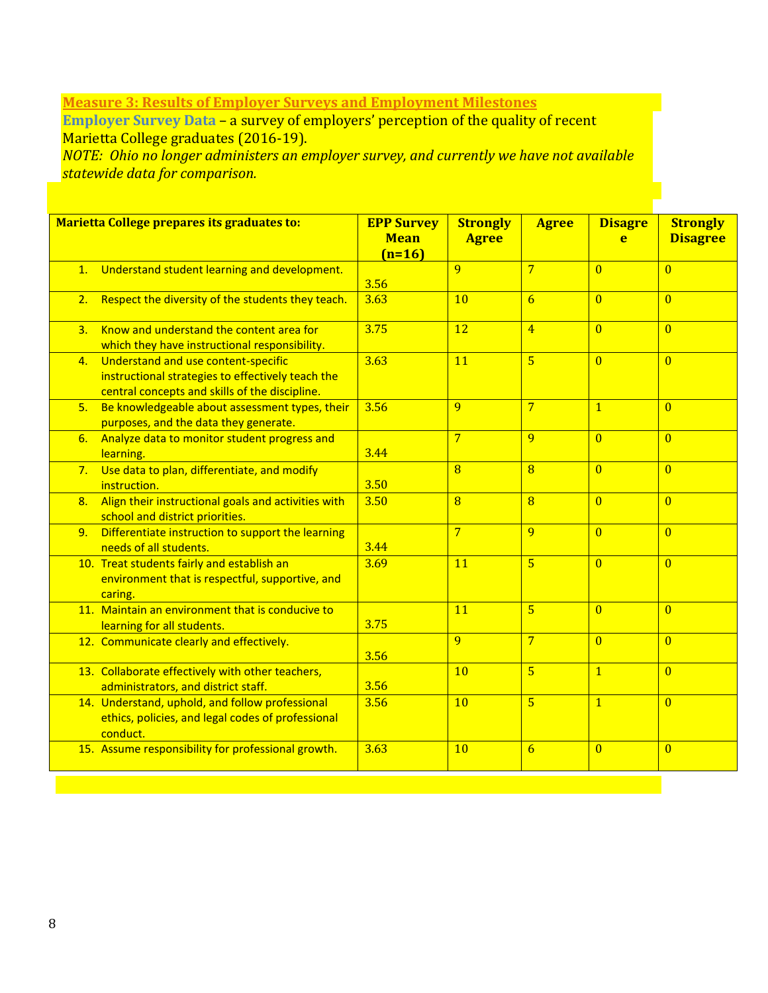## <span id="page-7-0"></span>**Measure 3: Results of Employer Surveys and Employment Milestones**

**Employer Survey Data – a survey of employers' perception of the quality of recent** Marietta College graduates (2016-19).

*NOTE: Ohio no longer administers an employer survey, and currently we have not available statewide data for comparison.*

<span id="page-7-1"></span>

|    | Marietta College prepares its graduates to:                                                                                                | <b>EPP Survey</b><br><b>Mean</b><br>$(n=16)$ | <b>Strongly</b><br><b>Agree</b> | <b>Agree</b>    | <b>Disagre</b><br>e | <b>Strongly</b><br><b>Disagree</b> |
|----|--------------------------------------------------------------------------------------------------------------------------------------------|----------------------------------------------|---------------------------------|-----------------|---------------------|------------------------------------|
|    | 1. Understand student learning and development.                                                                                            | 3.56                                         | $\overline{q}$                  | $\overline{7}$  | $\Omega$            | $\Omega$                           |
| 2. | Respect the diversity of the students they teach.                                                                                          | 3.63                                         | 10                              | 6               | $\overline{0}$      | $\overline{0}$                     |
| 3. | Know and understand the content area for<br>which they have instructional responsibility.                                                  | 3.75                                         | <b>12</b>                       | $\overline{4}$  | $\overline{0}$      | $\overline{0}$                     |
| 4. | Understand and use content-specific<br>instructional strategies to effectively teach the<br>central concepts and skills of the discipline. | 3.63                                         | 11                              | $\overline{5}$  | $\overline{0}$      | $\overline{0}$                     |
| 5. | Be knowledgeable about assessment types, their<br>purposes, and the data they generate.                                                    | 3.56                                         | 9                               | $\overline{7}$  | $\overline{1}$      | $\overline{0}$                     |
| 6. | Analyze data to monitor student progress and<br>learning.                                                                                  | 3.44                                         | $\overline{7}$                  | 9               | $\overline{0}$      | $\overline{0}$                     |
| 7. | Use data to plan, differentiate, and modify<br>instruction.                                                                                | 3.50                                         | $\overline{8}$                  | $\overline{8}$  | $\overline{0}$      | $\overline{0}$                     |
| 8. | Align their instructional goals and activities with<br>school and district priorities.                                                     | 3.50                                         | $\overline{8}$                  | $\overline{8}$  | $\overline{0}$      | $\overline{0}$                     |
| 9. | Differentiate instruction to support the learning<br>needs of all students.                                                                | 3.44                                         | $\overline{7}$                  | 9               | $\overline{0}$      | $\overline{0}$                     |
|    | 10. Treat students fairly and establish an<br>environment that is respectful, supportive, and<br>caring.                                   | 3.69                                         | 11                              | $\overline{5}$  | $\overline{0}$      | $\overline{0}$                     |
|    | 11. Maintain an environment that is conducive to<br>learning for all students.                                                             | 3.75                                         | 11                              | $\overline{5}$  | $\overline{0}$      | $\overline{0}$                     |
|    | 12. Communicate clearly and effectively.                                                                                                   | 3.56                                         | 9                               | $\overline{7}$  | $\overline{0}$      | $\overline{0}$                     |
|    | 13. Collaborate effectively with other teachers,<br>administrators, and district staff.                                                    | 3.56                                         | 10                              | $\overline{5}$  | $\overline{1}$      | $\overline{0}$                     |
|    | 14. Understand, uphold, and follow professional<br>ethics, policies, and legal codes of professional<br>conduct.                           | 3.56                                         | 10                              | $\overline{5}$  | $\overline{1}$      | $\Omega$                           |
|    | 15. Assume responsibility for professional growth.                                                                                         | 3.63                                         | 10                              | $6\overline{6}$ | $\overline{0}$      | $\overline{0}$                     |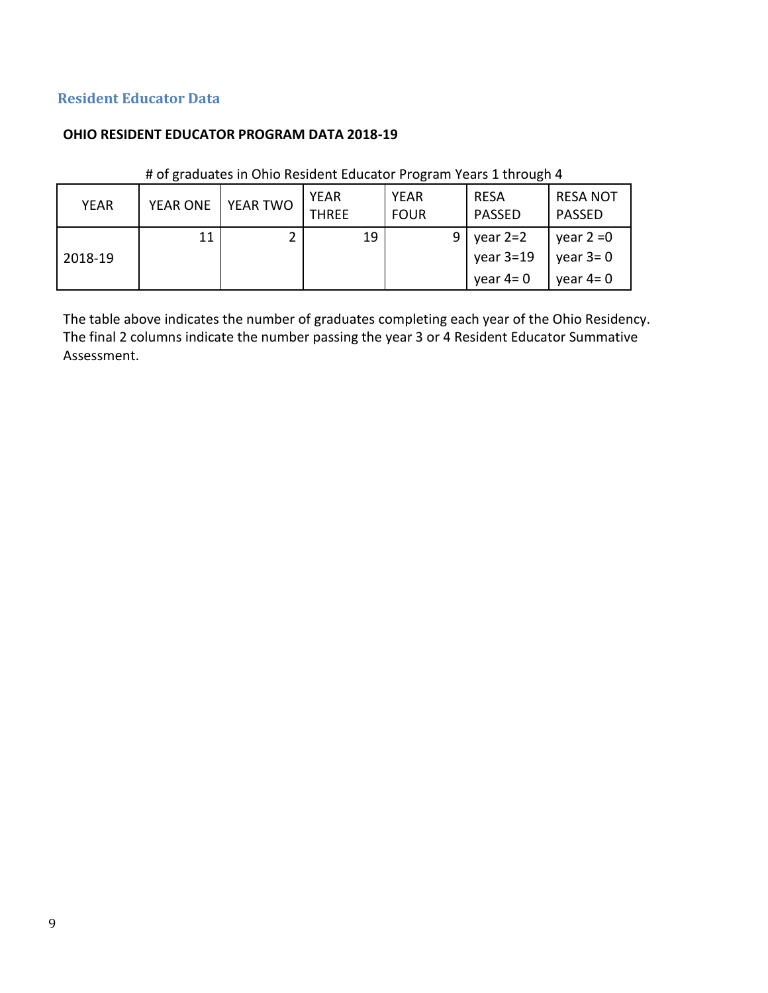## **Resident Educator Data**

#### **OHIO RESIDENT EDUCATOR PROGRAM DATA 2018-19**

| <b>YEAR</b> | <b>YEAR ONE</b> | YEAR TWO | <b>YEAR</b><br><b>THREE</b> | <b>YEAR</b><br><b>FOUR</b> | <b>RESA</b><br><b>PASSED</b>          | <b>RESA NOT</b><br><b>PASSED</b>         |
|-------------|-----------------|----------|-----------------------------|----------------------------|---------------------------------------|------------------------------------------|
| 2018-19     | 11              |          | 19                          | 9                          | year 2=2<br>year $3=19$<br>year $4=0$ | year $2 = 0$<br>year $3=0$<br>vear $4=0$ |

## # of graduates in Ohio Resident Educator Program Years 1 through 4

The table above indicates the number of graduates completing each year of the Ohio Residency. The final 2 columns indicate the number passing the year 3 or 4 Resident Educator Summative Assessment.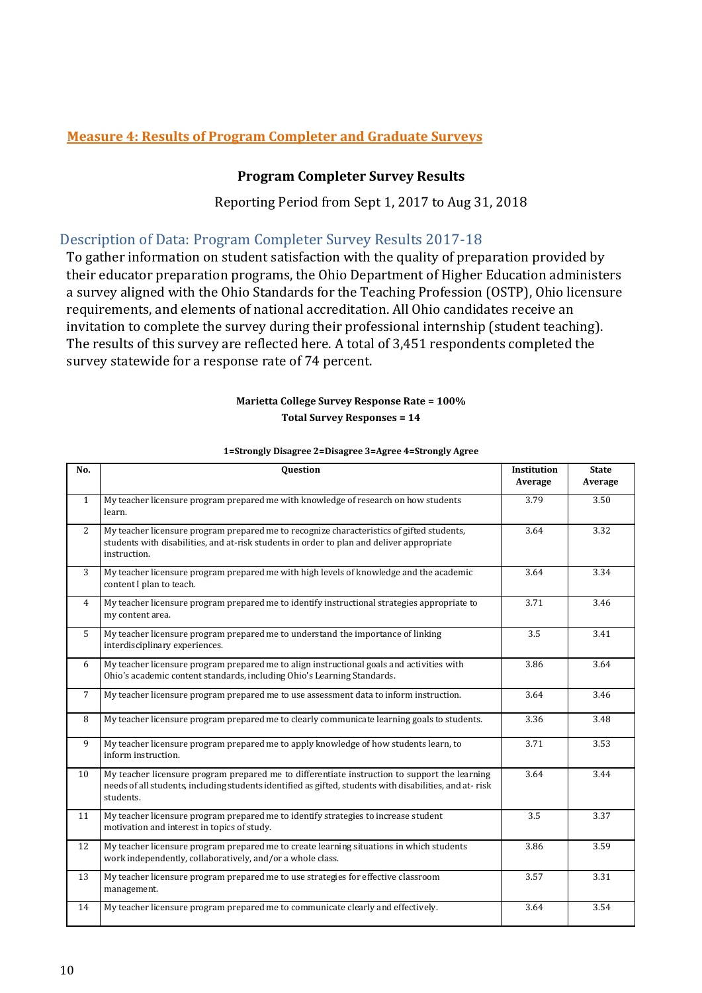## <span id="page-9-1"></span><span id="page-9-0"></span>**Measure 4: Results of Program Completer and Graduate Surveys**

#### **Program Completer Survey Results**

Reporting Period from Sept 1, 2017 to Aug 31, 2018

## Description of Data: Program Completer Survey Results 2017-18

To gather information on student satisfaction with the quality of preparation provided by their educator preparation programs, the Ohio Department of Higher Education administers a survey aligned with the Ohio Standards for the Teaching Profession (OSTP), Ohio licensure requirements, and elements of national accreditation. All Ohio candidates receive an invitation to complete the survey during their professional internship (student teaching). The results of this survey are reflected here. A total of 3,451 respondents completed the survey statewide for a response rate of 74 percent.

#### **Marietta College Survey Response Rate = 100% Total Survey Responses = 14**

| No.          | <b>Question</b>                                                                                                                                                                                                       | <b>Institution</b><br>Average | <b>State</b><br>Average |
|--------------|-----------------------------------------------------------------------------------------------------------------------------------------------------------------------------------------------------------------------|-------------------------------|-------------------------|
| $\mathbf{1}$ | My teacher licensure program prepared me with knowledge of research on how students<br>learn.                                                                                                                         | 3.79                          | 3.50                    |
| 2            | My teacher licensure program prepared me to recognize characteristics of gifted students,<br>students with disabilities, and at-risk students in order to plan and deliver appropriate<br>instruction.                | 3.64                          | 3.32                    |
| 3            | My teacher licensure program prepared me with high levels of knowledge and the academic<br>content I plan to teach.                                                                                                   | 3.64                          | 3.34                    |
| 4            | My teacher licensure program prepared me to identify instructional strategies appropriate to<br>my content area.                                                                                                      | 3.71                          | 3.46                    |
| 5            | My teacher licensure program prepared me to understand the importance of linking<br>interdisciplinary experiences.                                                                                                    | 3.5                           | 3.41                    |
| 6            | My teacher licensure program prepared me to align instructional goals and activities with<br>Ohio's academic content standards, including Ohio's Learning Standards.                                                  | 3.86                          | 3.64                    |
| 7            | My teacher licensure program prepared me to use assessment data to inform instruction.                                                                                                                                | 3.64                          | 3.46                    |
| 8            | My teacher licensure program prepared me to clearly communicate learning goals to students.                                                                                                                           | 3.36                          | 3.48                    |
| 9            | My teacher licensure program prepared me to apply knowledge of how students learn, to<br>inform instruction.                                                                                                          | 3.71                          | 3.53                    |
| 10           | My teacher licensure program prepared me to differentiate instruction to support the learning<br>needs of all students, including students identified as gifted, students with disabilities, and at-risk<br>students. | 3.64                          | 3.44                    |
| 11           | My teacher licensure program prepared me to identify strategies to increase student<br>motivation and interest in topics of study.                                                                                    | 3.5                           | 3.37                    |
| 12           | My teacher licensure program prepared me to create learning situations in which students<br>work independently, collaboratively, and/or a whole class.                                                                | 3.86                          | 3.59                    |
| 13           | My teacher licensure program prepared me to use strategies for effective classroom<br>management.                                                                                                                     | 3.57                          | 3.31                    |
| 14           | My teacher licensure program prepared me to communicate clearly and effectively.                                                                                                                                      | 3.64                          | 3.54                    |

#### **1=Strongly Disagree 2=Disagree 3=Agree 4=Strongly Agree**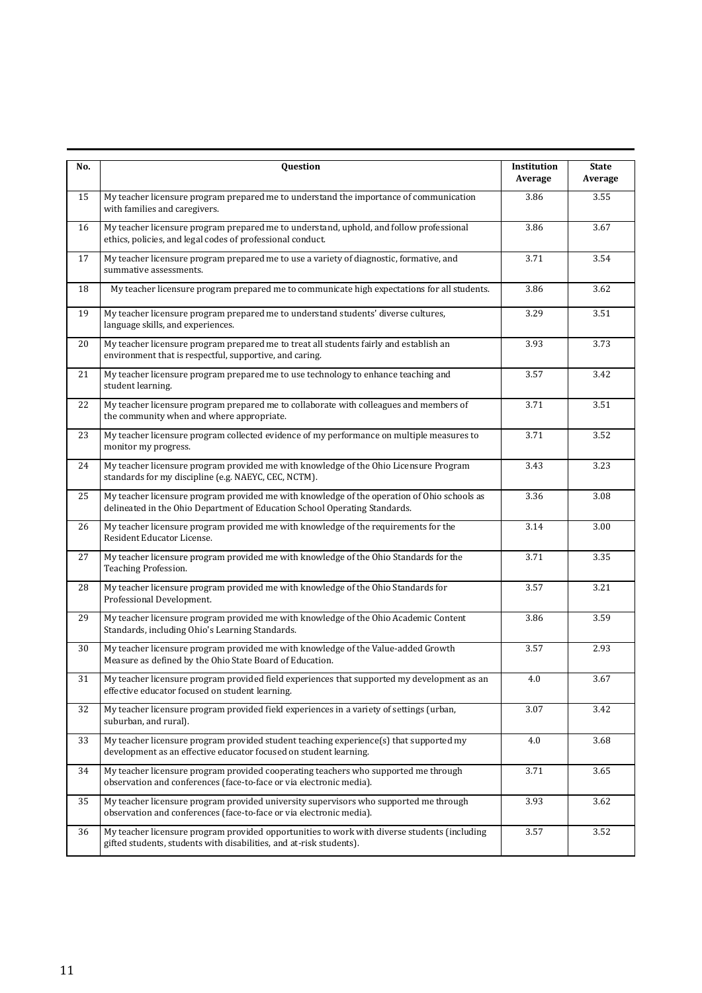| No. | Question                                                                                                                                                                  | Institution<br>Average | <b>State</b><br>Average |
|-----|---------------------------------------------------------------------------------------------------------------------------------------------------------------------------|------------------------|-------------------------|
| 15  | My teacher licensure program prepared me to understand the importance of communication<br>with families and caregivers.                                                   | 3.86                   | 3.55                    |
| 16  | My teacher licensure program prepared me to understand, uphold, and follow professional<br>ethics, policies, and legal codes of professional conduct.                     | 3.86                   | 3.67                    |
| 17  | My teacher licensure program prepared me to use a variety of diagnostic, formative, and<br>summative assessments.                                                         | 3.71                   | 3.54                    |
| 18  | My teacher licensure program prepared me to communicate high expectations for all students.                                                                               |                        | 3.62                    |
| 19  | My teacher licensure program prepared me to understand students' diverse cultures,<br>language skills, and experiences.                                                   | 3.29                   | 3.51                    |
| 20  | My teacher licensure program prepared me to treat all students fairly and establish an<br>environment that is respectful, supportive, and caring.                         | 3.93                   | 3.73                    |
| 21  | My teacher licensure program prepared me to use technology to enhance teaching and<br>student learning.                                                                   | 3.57                   | 3.42                    |
| 22  | My teacher licensure program prepared me to collaborate with colleagues and members of<br>the community when and where appropriate.                                       | 3.71                   | 3.51                    |
| 23  | My teacher licensure program collected evidence of my performance on multiple measures to<br>monitor my progress.                                                         | 3.71                   | 3.52                    |
| 24  | My teacher licensure program provided me with knowledge of the Ohio Licensure Program<br>standards for my discipline (e.g. NAEYC, CEC, NCTM).                             | 3.43                   | 3.23                    |
| 25  | My teacher licensure program provided me with knowledge of the operation of Ohio schools as<br>delineated in the Ohio Department of Education School Operating Standards. |                        | 3.08                    |
| 26  | My teacher licensure program provided me with knowledge of the requirements for the<br>Resident Educator License.                                                         | 3.14                   | 3.00                    |
| 27  | My teacher licensure program provided me with knowledge of the Ohio Standards for the<br>Teaching Profession.                                                             | 3.71                   | 3.35                    |
| 28  | My teacher licensure program provided me with knowledge of the Ohio Standards for<br>Professional Development.                                                            | 3.57                   | 3.21                    |
| 29  | My teacher licensure program provided me with knowledge of the Ohio Academic Content<br>Standards, including Ohio's Learning Standards.                                   | 3.86                   | 3.59                    |
| 30  | My teacher licensure program provided me with knowledge of the Value-added Growth<br>Measure as defined by the Ohio State Board of Education.                             | 3.57                   | 2.93                    |
| 31  | My teacher licensure program provided field experiences that supported my development as an<br>effective educator focused on student learning.                            | 4.0                    | 3.67                    |
| 32  | My teacher licensure program provided field experiences in a variety of settings (urban,<br>suburban, and rural).                                                         |                        | 3.42                    |
| 33  | My teacher licensure program provided student teaching experience(s) that supported my<br>development as an effective educator focused on student learning.               | 4.0                    | 3.68                    |
| 34  | My teacher licensure program provided cooperating teachers who supported me through<br>observation and conferences (face-to-face or via electronic media).                | 3.71                   | 3.65                    |
| 35  | My teacher licensure program provided university supervisors who supported me through<br>observation and conferences (face-to-face or via electronic media).              | 3.93                   | 3.62                    |
| 36  | My teacher licensure program provided opportunities to work with diverse students (including<br>gifted students, students with disabilities, and at-risk students).       | 3.57                   | 3.52                    |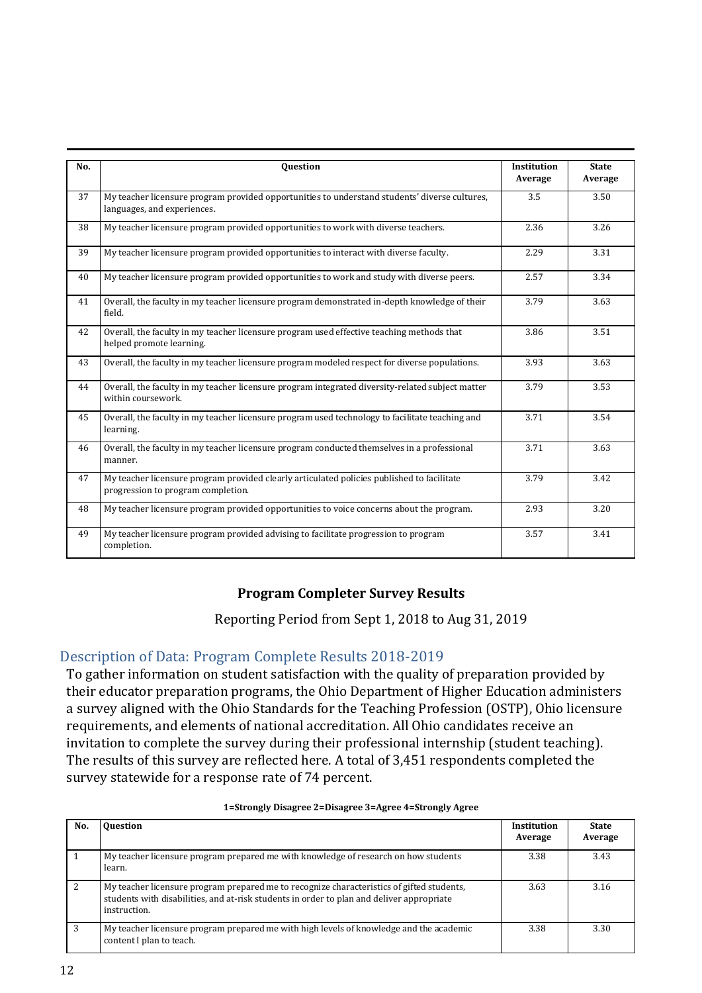| No. | <b>Ouestion</b>                                                                                                                  | <b>Institution</b><br>Average | <b>State</b><br>Average |
|-----|----------------------------------------------------------------------------------------------------------------------------------|-------------------------------|-------------------------|
| 37  | My teacher licensure program provided opportunities to understand students' diverse cultures,<br>languages, and experiences.     | 3.5                           | 3.50                    |
| 38  | My teacher licensure program provided opportunities to work with diverse teachers.                                               | 2.36                          | 3.26                    |
| 39  | My teacher licensure program provided opportunities to interact with diverse faculty.                                            | 2.29                          | 3.31                    |
| 40  | My teacher licensure program provided opportunities to work and study with diverse peers.                                        | 2.57                          | 3.34                    |
| 41  | Overall, the faculty in my teacher licensure program demonstrated in-depth knowledge of their<br>field.                          | 3.79                          | 3.63                    |
| 42  | Overall, the faculty in my teacher licensure program used effective teaching methods that<br>helped promote learning.            | 3.86                          | 3.51                    |
| 43  | Overall, the faculty in my teacher licensure program modeled respect for diverse populations.                                    | 3.93                          | 3.63                    |
| 44  | Overall, the faculty in my teacher licensure program integrated diversity-related subject matter<br>within coursework.           | 3.79                          | 3.53                    |
| 45  | Overall, the faculty in my teacher licensure program used technology to facilitate teaching and<br>learning.                     | 3.71                          | 3.54                    |
| 46  | Overall, the faculty in my teacher licensure program conducted themselves in a professional<br>manner.                           | 3.71                          | 3.63                    |
| 47  | My teacher licensure program provided clearly articulated policies published to facilitate<br>progression to program completion. | 3.79                          | 3.42                    |
| 48  | My teacher licensure program provided opportunities to voice concerns about the program.                                         | 2.93                          | 3.20                    |
| 49  | My teacher licensure program provided advising to facilitate progression to program<br>completion.                               | 3.57                          | 3.41                    |

## **Program Completer Survey Results**

Reporting Period from Sept 1, 2018 to Aug 31, 2019

## <span id="page-11-0"></span>Description of Data: Program Complete Results 2018-2019

To gather information on student satisfaction with the quality of preparation provided by their educator preparation programs, the Ohio Department of Higher Education administers a survey aligned with the Ohio Standards for the Teaching Profession (OSTP), Ohio licensure requirements, and elements of national accreditation. All Ohio candidates receive an invitation to complete the survey during their professional internship (student teaching). The results of this survey are reflected here. A total of 3,451 respondents completed the survey statewide for a response rate of 74 percent.

| No. | <b>Ouestion</b>                                                                                                                                                                                        | <b>Institution</b><br>Average | <b>State</b><br>Average |
|-----|--------------------------------------------------------------------------------------------------------------------------------------------------------------------------------------------------------|-------------------------------|-------------------------|
|     | My teacher licensure program prepared me with knowledge of research on how students<br>learn.                                                                                                          | 3.38                          | 3.43                    |
| 2   | My teacher licensure program prepared me to recognize characteristics of gifted students,<br>students with disabilities, and at-risk students in order to plan and deliver appropriate<br>instruction. | 3.63                          | 3.16                    |
| 3   | My teacher licensure program prepared me with high levels of knowledge and the academic<br>content I plan to teach.                                                                                    | 3.38                          | 3.30                    |

#### **1=Strongly Disagree 2=Disagree 3=Agree 4=Strongly Agree**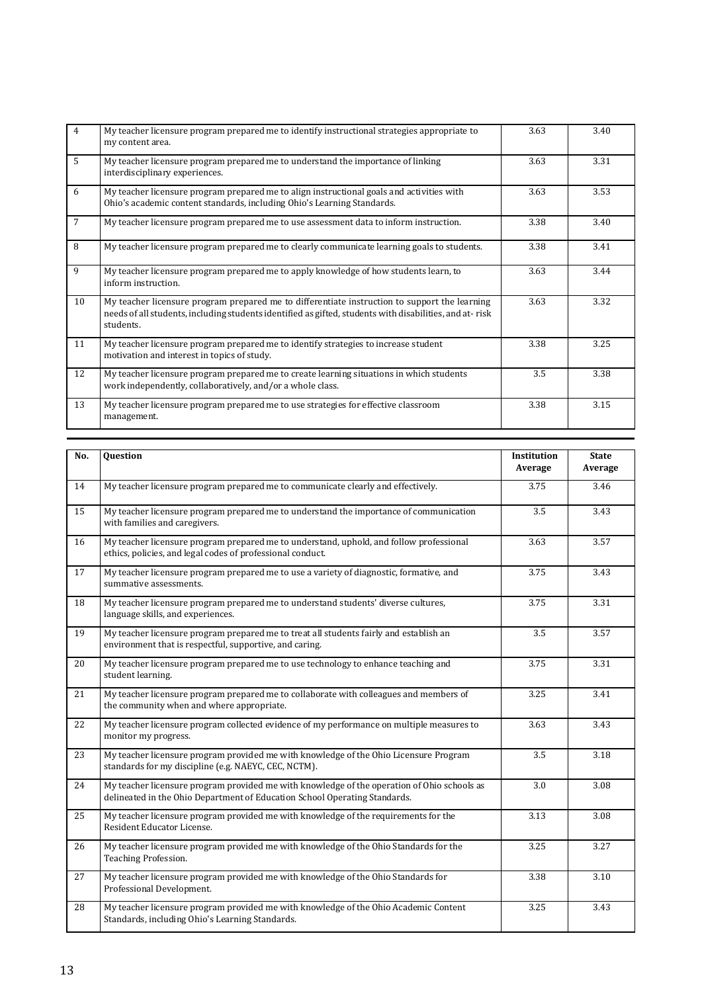| $\overline{4}$ | My teacher licensure program prepared me to identify instructional strategies appropriate to<br>my content area.                                                                                                      |      | 3.40 |
|----------------|-----------------------------------------------------------------------------------------------------------------------------------------------------------------------------------------------------------------------|------|------|
| 5              | My teacher licensure program prepared me to understand the importance of linking<br>interdisciplinary experiences.                                                                                                    | 3.63 | 3.31 |
| 6              | My teacher licensure program prepared me to align instructional goals and activities with<br>Ohio's academic content standards, including Ohio's Learning Standards.                                                  | 3.63 | 3.53 |
| $\overline{7}$ | My teacher licensure program prepared me to use assessment data to inform instruction.                                                                                                                                | 3.38 | 3.40 |
| 8              | My teacher licensure program prepared me to clearly communicate learning goals to students.                                                                                                                           | 3.38 | 3.41 |
| $\mathbf{q}$   | My teacher licensure program prepared me to apply knowledge of how students learn, to<br>inform instruction.                                                                                                          | 3.63 | 3.44 |
| 10             | My teacher licensure program prepared me to differentiate instruction to support the learning<br>needs of all students, including students identified as gifted, students with disabilities, and at-risk<br>students. | 3.63 | 3.32 |
| 11             | My teacher licensure program prepared me to identify strategies to increase student<br>motivation and interest in topics of study.                                                                                    | 3.38 | 3.25 |
| 12             | My teacher licensure program prepared me to create learning situations in which students<br>work independently, collaboratively, and/or a whole class.                                                                | 3.5  | 3.38 |
| 13             | My teacher licensure program prepared me to use strategies for effective classroom<br>management.                                                                                                                     | 3.38 | 3.15 |

| No. | Question                                                                                                                                                                  | Institution<br>Average | <b>State</b><br>Average |
|-----|---------------------------------------------------------------------------------------------------------------------------------------------------------------------------|------------------------|-------------------------|
| 14  | My teacher licensure program prepared me to communicate clearly and effectively.                                                                                          | 3.75                   | 3.46                    |
| 15  | My teacher licensure program prepared me to understand the importance of communication<br>with families and caregivers.                                                   | 3.5                    | 3.43                    |
| 16  | My teacher licensure program prepared me to understand, uphold, and follow professional<br>ethics, policies, and legal codes of professional conduct.                     | 3.63                   | 3.57                    |
| 17  | My teacher licensure program prepared me to use a variety of diagnostic, formative, and<br>summative assessments.                                                         | 3.75                   | 3.43                    |
| 18  | My teacher licensure program prepared me to understand students' diverse cultures,<br>language skills, and experiences.                                                   | 3.75                   | 3.31                    |
| 19  | My teacher licensure program prepared me to treat all students fairly and establish an<br>environment that is respectful, supportive, and caring.                         | 3.5                    | 3.57                    |
| 20  | My teacher licensure program prepared me to use technology to enhance teaching and<br>student learning.                                                                   | 3.75                   | 3.31                    |
| 21  | My teacher licensure program prepared me to collaborate with colleagues and members of<br>the community when and where appropriate.                                       | 3.25                   | 3.41                    |
| 22  | My teacher licensure program collected evidence of my performance on multiple measures to<br>monitor my progress.                                                         | 3.63                   | 3.43                    |
| 23  | My teacher licensure program provided me with knowledge of the Ohio Licensure Program<br>standards for my discipline (e.g. NAEYC, CEC, NCTM).                             | 3.5                    | 3.18                    |
| 24  | My teacher licensure program provided me with knowledge of the operation of Ohio schools as<br>delineated in the Ohio Department of Education School Operating Standards. | 3.0                    | 3.08                    |
| 25  | My teacher licensure program provided me with knowledge of the requirements for the<br>Resident Educator License.                                                         | 3.13                   | 3.08                    |
| 26  | My teacher licensure program provided me with knowledge of the Ohio Standards for the<br>Teaching Profession.                                                             | 3.25                   | 3.27                    |
| 27  | My teacher licensure program provided me with knowledge of the Ohio Standards for<br>Professional Development.                                                            | 3.38                   | 3.10                    |
| 28  | My teacher licensure program provided me with knowledge of the Ohio Academic Content<br>Standards, including Ohio's Learning Standards.                                   | 3.25                   | 3.43                    |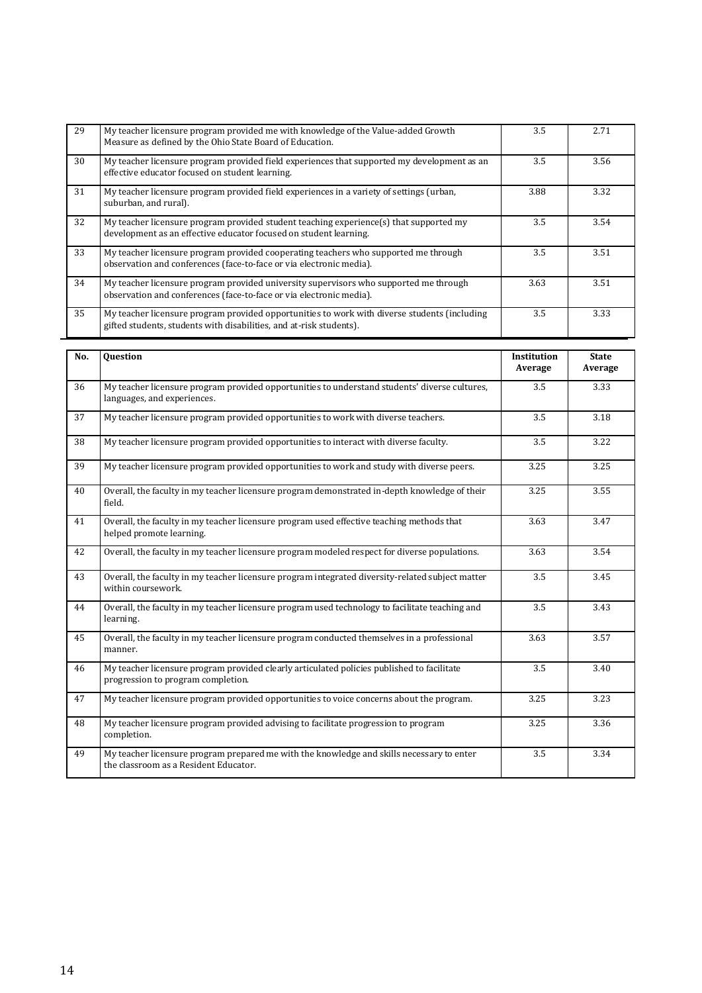| 29 | My teacher licensure program provided me with knowledge of the Value-added Growth<br>Measure as defined by the Ohio State Board of Education.                       | 3.5  | 2.71 |
|----|---------------------------------------------------------------------------------------------------------------------------------------------------------------------|------|------|
| 30 | My teacher licensure program provided field experiences that supported my development as an<br>effective educator focused on student learning.                      | 3.5  | 3.56 |
| 31 | My teacher licensure program provided field experiences in a variety of settings (urban,<br>suburban, and rural).                                                   | 3.88 | 3.32 |
| 32 | My teacher licensure program provided student teaching experience(s) that supported my<br>development as an effective educator focused on student learning.         | 3.5  | 3.54 |
| 33 | My teacher licensure program provided cooperating teachers who supported me through<br>observation and conferences (face-to-face or via electronic media).          | 3.5  | 3.51 |
| 34 | My teacher licensure program provided university supervisors who supported me through<br>observation and conferences (face-to-face or via electronic media).        | 3.63 | 3.51 |
| 35 | My teacher licensure program provided opportunities to work with diverse students (including<br>gifted students, students with disabilities, and at-risk students). | 3.5  | 3.33 |

| No.             | <b>Ouestion</b>                                                                                                                    | Institution<br>Average | <b>State</b><br>Average |
|-----------------|------------------------------------------------------------------------------------------------------------------------------------|------------------------|-------------------------|
| 36              | My teacher licensure program provided opportunities to understand students' diverse cultures,<br>languages, and experiences.       | 3.5                    | 3.33                    |
| 37              | My teacher licensure program provided opportunities to work with diverse teachers.                                                 | 3.5                    | 3.18                    |
| 38              | My teacher licensure program provided opportunities to interact with diverse faculty.                                              | 3.5                    | 3.22                    |
| $\overline{39}$ | My teacher licensure program provided opportunities to work and study with diverse peers.                                          | 3.25                   | 3.25                    |
| 40              | Overall, the faculty in my teacher licensure program demonstrated in-depth knowledge of their<br>field.                            | 3.25                   | 3.55                    |
| 41              | Overall, the faculty in my teacher licensure program used effective teaching methods that<br>helped promote learning.              | 3.63                   | 3.47                    |
| 42              | Overall, the faculty in my teacher licensure program modeled respect for diverse populations.                                      | 3.63                   | 3.54                    |
| 43              | Overall, the faculty in my teacher licensure program integrated diversity-related subject matter<br>within coursework.             | 3.5                    | 3.45                    |
| 44              | Overall, the faculty in my teacher licensure program used technology to facilitate teaching and<br>learning.                       | 3.5                    | 3.43                    |
| 45              | Overall, the faculty in my teacher licensure program conducted themselves in a professional<br>manner.                             | 3.63                   | 3.57                    |
| 46              | My teacher licensure program provided clearly articulated policies published to facilitate<br>progression to program completion.   | 3.5                    | 3.40                    |
| 47              | My teacher licensure program provided opportunities to voice concerns about the program.                                           | 3.25                   | 3.23                    |
| 48              | My teacher licensure program provided advising to facilitate progression to program<br>completion.                                 | 3.25                   | 3.36                    |
| 49              | My teacher licensure program prepared me with the knowledge and skills necessary to enter<br>the classroom as a Resident Educator. | 3.5                    | 3.34                    |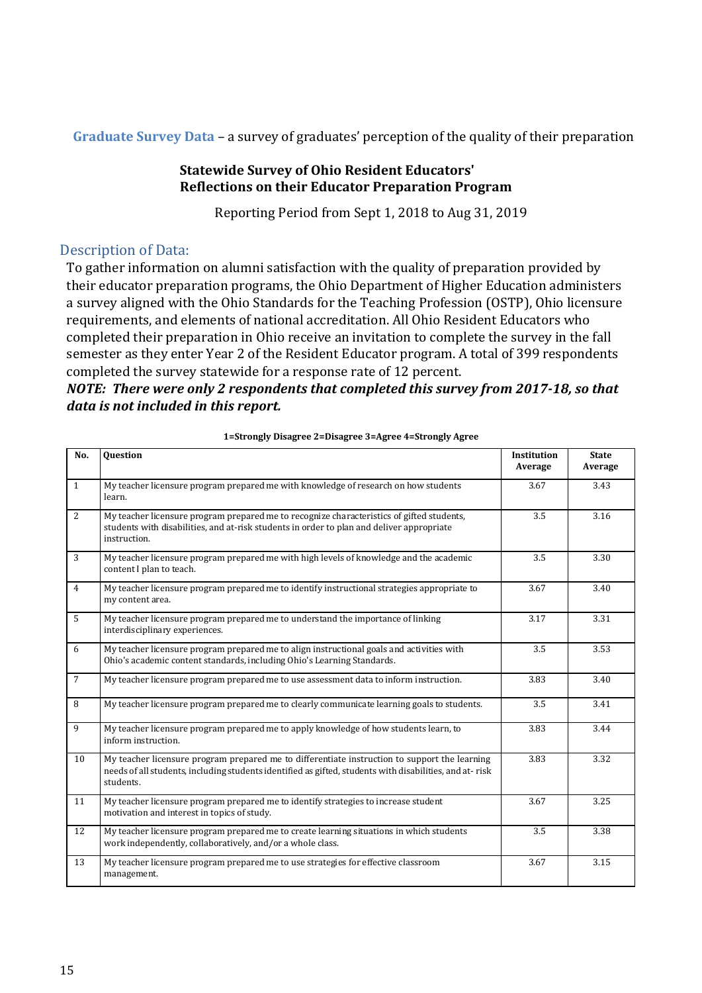<span id="page-14-0"></span>**Graduate Survey Data** – a survey of graduates' perception of the quality of their preparation

## **Statewide Survey of Ohio Resident Educators' Reflections on their Educator Preparation Program**

Reporting Period from Sept 1, 2018 to Aug 31, 2019

## Description of Data:

To gather information on alumni satisfaction with the quality of preparation provided by their educator preparation programs, the Ohio Department of Higher Education administers a survey aligned with the Ohio Standards for the Teaching Profession (OSTP), Ohio licensure requirements, and elements of national accreditation. All Ohio Resident Educators who completed their preparation in Ohio receive an invitation to complete the survey in the fall semester as they enter Year 2 of the Resident Educator program. A total of 399 respondents completed the survey statewide for a response rate of 12 percent.

## *NOTE: There were only 2 respondents that completed this survey from 2017-18, so that data is not included in this report.*

| No.            | Question                                                                                                                                                                                                              | Institution<br>Average | <b>State</b><br>Average |
|----------------|-----------------------------------------------------------------------------------------------------------------------------------------------------------------------------------------------------------------------|------------------------|-------------------------|
| $\mathbf{1}$   | My teacher licensure program prepared me with knowledge of research on how students<br>learn.                                                                                                                         | 3.67                   | 3.43                    |
| $\overline{2}$ | My teacher licensure program prepared me to recognize characteristics of gifted students,<br>students with disabilities, and at-risk students in order to plan and deliver appropriate<br>instruction.                | 3.5                    | 3.16                    |
| 3              | My teacher licensure program prepared me with high levels of knowledge and the academic<br>content I plan to teach.                                                                                                   | 3.5                    | 3.30                    |
| $\overline{4}$ | My teacher licensure program prepared me to identify instructional strategies appropriate to<br>my content area.                                                                                                      | 3.67                   | 3.40                    |
| 5              | My teacher licensure program prepared me to understand the importance of linking<br>interdisciplinary experiences.                                                                                                    | 3.17                   | 3.31                    |
| 6              | My teacher licensure program prepared me to align instructional goals and activities with<br>Ohio's academic content standards, including Ohio's Learning Standards.                                                  | 3.5                    | 3.53                    |
| $\overline{7}$ | My teacher licensure program prepared me to use assessment data to inform instruction.                                                                                                                                | 3.83                   | 3.40                    |
| 8              | My teacher licensure program prepared me to clearly communicate learning goals to students.                                                                                                                           | 3.5                    | 3.41                    |
| 9              | My teacher licensure program prepared me to apply knowledge of how students learn, to<br>inform instruction.                                                                                                          | 3.83                   | 3.44                    |
| 10             | My teacher licensure program prepared me to differentiate instruction to support the learning<br>needs of all students, including students identified as gifted, students with disabilities, and at-risk<br>students. | 3.83                   | 3.32                    |
| 11             | My teacher licensure program prepared me to identify strategies to increase student<br>motivation and interest in topics of study.                                                                                    | 3.67                   | 3.25                    |
| 12             | My teacher licensure program prepared me to create learning situations in which students<br>work independently, collaboratively, and/or a whole class.                                                                | 3.5                    | 3.38                    |
| 13             | My teacher licensure program prepared me to use strategies for effective classroom<br>management.                                                                                                                     | 3.67                   | 3.15                    |

**1=Strongly Disagree 2=Disagree 3=Agree 4=Strongly Agree**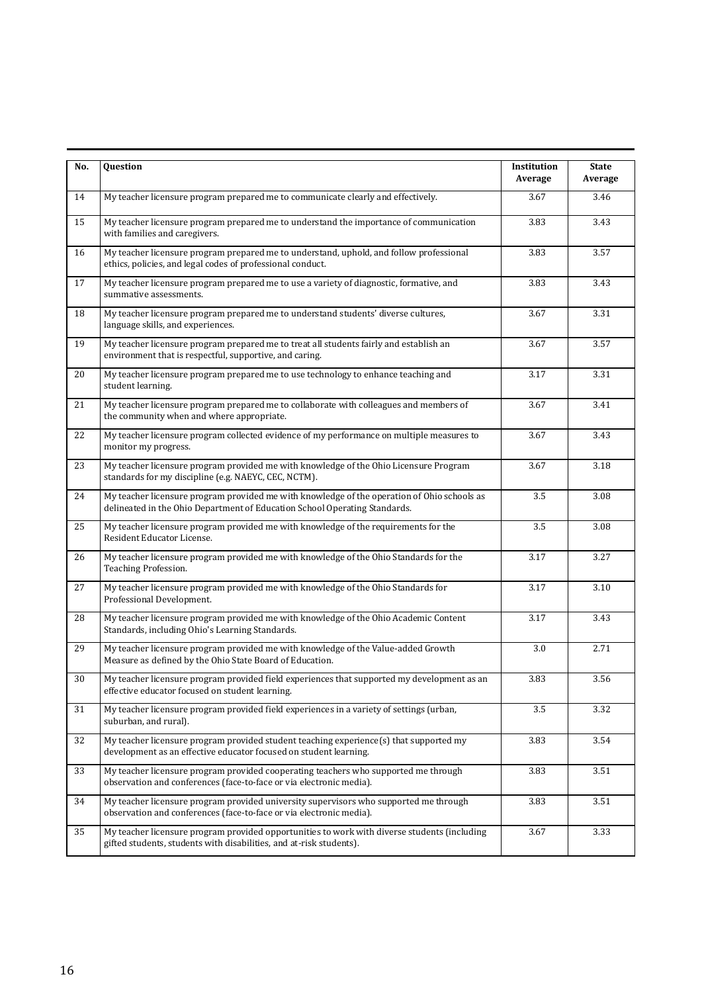| No.    | Question                                                                                                                                                                  | Institution<br>Average | <b>State</b><br>Average |
|--------|---------------------------------------------------------------------------------------------------------------------------------------------------------------------------|------------------------|-------------------------|
| 14     | My teacher licensure program prepared me to communicate clearly and effectively.                                                                                          | 3.67                   | 3.46                    |
| 15     | My teacher licensure program prepared me to understand the importance of communication<br>with families and caregivers.                                                   | 3.83                   | 3.43                    |
| 16     | My teacher licensure program prepared me to understand, uphold, and follow professional<br>ethics, policies, and legal codes of professional conduct.                     | 3.83                   | 3.57                    |
| 17     | My teacher licensure program prepared me to use a variety of diagnostic, formative, and<br>summative assessments.                                                         | 3.83                   | 3.43                    |
| 18     | My teacher licensure program prepared me to understand students' diverse cultures,<br>language skills, and experiences.                                                   | 3.67                   | 3.31                    |
| 19     | My teacher licensure program prepared me to treat all students fairly and establish an<br>environment that is respectful, supportive, and caring.                         | 3.67                   | 3.57                    |
| 20     | My teacher licensure program prepared me to use technology to enhance teaching and<br>student learning.                                                                   | 3.17                   | 3.31                    |
| 21     | My teacher licensure program prepared me to collaborate with colleagues and members of<br>the community when and where appropriate.                                       | 3.67                   | 3.41                    |
| 22     | My teacher licensure program collected evidence of my performance on multiple measures to<br>monitor my progress.                                                         | 3.67                   | 3.43                    |
| 23     | My teacher licensure program provided me with knowledge of the Ohio Licensure Program<br>standards for my discipline (e.g. NAEYC, CEC, NCTM).                             | 3.67                   | 3.18                    |
| 24     | My teacher licensure program provided me with knowledge of the operation of Ohio schools as<br>delineated in the Ohio Department of Education School Operating Standards. | 3.5                    | 3.08                    |
| 25     | My teacher licensure program provided me with knowledge of the requirements for the<br>Resident Educator License.                                                         | 3.5                    | 3.08                    |
| 26     | My teacher licensure program provided me with knowledge of the Ohio Standards for the<br>Teaching Profession.                                                             | 3.17                   | 3.27                    |
| 27     | My teacher licensure program provided me with knowledge of the Ohio Standards for<br>Professional Development.                                                            | 3.17                   | 3.10                    |
| 28     | My teacher licensure program provided me with knowledge of the Ohio Academic Content<br>Standards, including Ohio's Learning Standards.                                   | 3.17                   | 3.43                    |
| 29     | My teacher licensure program provided me with knowledge of the Value-added Growth<br>Measure as defined by the Ohio State Board of Education.                             | 3.0                    | 2.71                    |
| $30\,$ | My teacher licensure program provided field experiences that supported my development as an<br>effective educator focused on student learning.                            | 3.83                   | 3.56                    |
| 31     | My teacher licensure program provided field experiences in a variety of settings (urban,<br>suburban, and rural).                                                         | 3.5                    | 3.32                    |
| 32     | My teacher licensure program provided student teaching experience(s) that supported my<br>development as an effective educator focused on student learning.               | 3.83                   | 3.54                    |
| 33     | My teacher licensure program provided cooperating teachers who supported me through<br>observation and conferences (face-to-face or via electronic media).                | 3.83                   | 3.51                    |
| 34     | My teacher licensure program provided university supervisors who supported me through<br>observation and conferences (face-to-face or via electronic media).              | 3.83                   | 3.51                    |
| 35     | My teacher licensure program provided opportunities to work with diverse students (including<br>gifted students, students with disabilities, and at-risk students).       | 3.67                   | 3.33                    |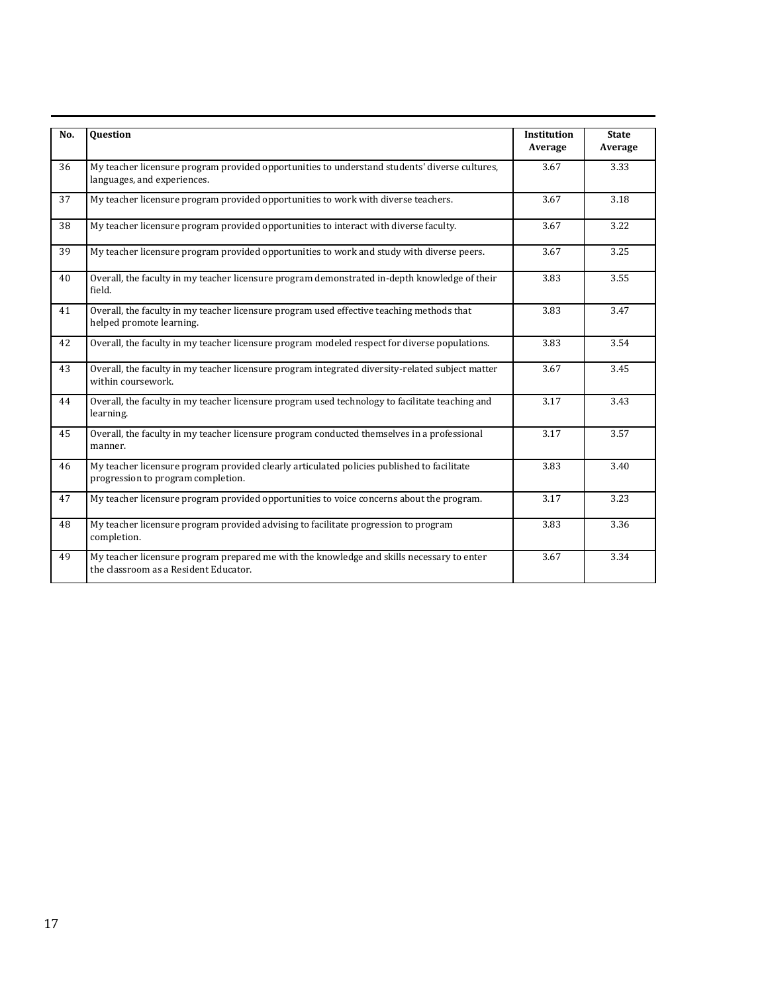| No. | <b>Ouestion</b>                                                                                                                    | Institution<br>Average | <b>State</b><br>Average |
|-----|------------------------------------------------------------------------------------------------------------------------------------|------------------------|-------------------------|
| 36  | My teacher licensure program provided opportunities to understand students' diverse cultures,<br>languages, and experiences.       | 3.67                   | 3.33                    |
| 37  | My teacher licensure program provided opportunities to work with diverse teachers.                                                 | 3.67                   | 3.18                    |
| 38  | My teacher licensure program provided opportunities to interact with diverse faculty.                                              | 3.67                   | 3.22                    |
| 39  | My teacher licensure program provided opportunities to work and study with diverse peers.                                          | 3.67                   | 3.25                    |
| 40  | Overall, the faculty in my teacher licensure program demonstrated in-depth knowledge of their<br>field.                            | 3.83                   | 3.55                    |
| 41  | Overall, the faculty in my teacher licensure program used effective teaching methods that<br>helped promote learning.              | 3.83                   | 3.47                    |
| 42  | Overall, the faculty in my teacher licensure program modeled respect for diverse populations.                                      | 3.83                   | 3.54                    |
| 43  | Overall, the faculty in my teacher licensure program integrated diversity-related subject matter<br>within coursework.             | 3.67                   | 3.45                    |
| 44  | Overall, the faculty in my teacher licensure program used technology to facilitate teaching and<br>learning.                       | 3.17                   | 3.43                    |
| 45  | Overall, the faculty in my teacher licensure program conducted themselves in a professional<br>manner.                             | 3.17                   | 3.57                    |
| 46  | My teacher licensure program provided clearly articulated policies published to facilitate<br>progression to program completion.   | 3.83                   | 3.40                    |
| 47  | My teacher licensure program provided opportunities to voice concerns about the program.                                           | 3.17                   | 3.23                    |
| 48  | My teacher licensure program provided advising to facilitate progression to program<br>completion.                                 | 3.83                   | 3.36                    |
| 49  | My teacher licensure program prepared me with the knowledge and skills necessary to enter<br>the classroom as a Resident Educator. | 3.67                   | 3.34                    |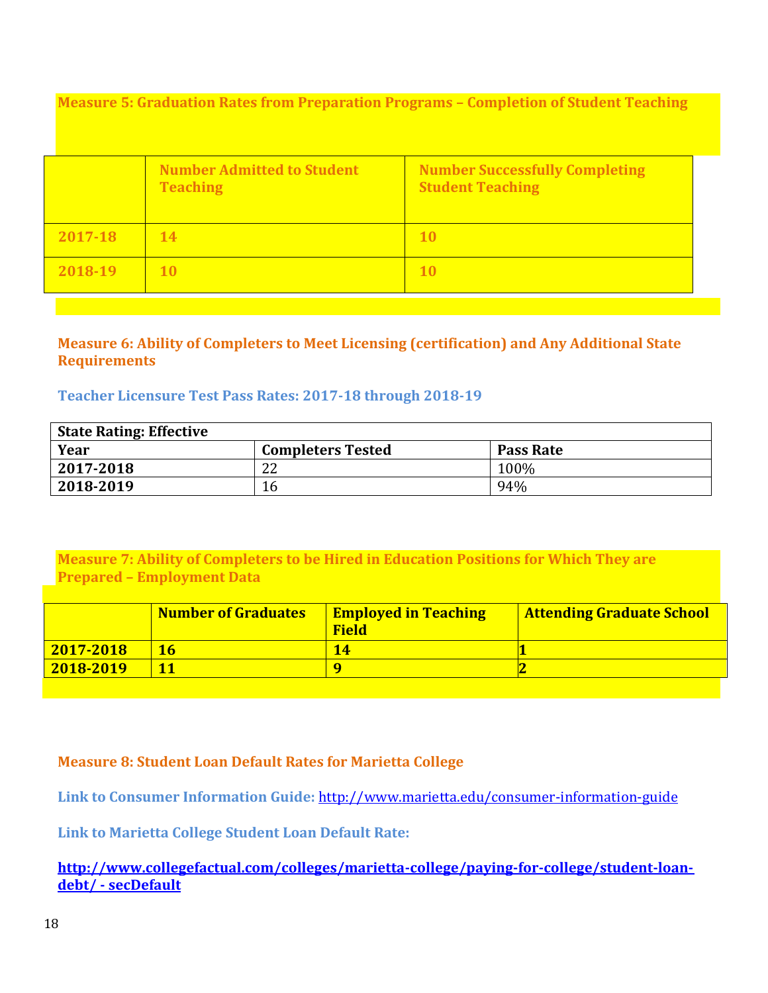<span id="page-17-0"></span>**Measure 5: Graduation Rates from Preparation Programs – Completion of Student Teaching**

|         | <b>Number Admitted to Student</b><br><b>Teaching</b> | <b>Number Successfully Completing</b><br><b>Student Teaching</b> |
|---------|------------------------------------------------------|------------------------------------------------------------------|
| 2017-18 | 14                                                   | 10                                                               |
| 2018-19 | <b>10</b>                                            | <b>10</b>                                                        |

## <span id="page-17-1"></span>**Measure 6: Ability of Completers to Meet Licensing (certification) and Any Additional State Requirements**

## **Teacher Licensure Test Pass Rates: 2017-18 through 2018-19**

| <b>State Rating: Effective</b> |                          |                  |  |  |  |  |  |  |
|--------------------------------|--------------------------|------------------|--|--|--|--|--|--|
| Year                           | <b>Completers Tested</b> | <b>Pass Rate</b> |  |  |  |  |  |  |
| 2017-2018                      | 22                       | 100%             |  |  |  |  |  |  |
| 2018-2019                      | 16                       | 94%              |  |  |  |  |  |  |

<span id="page-17-2"></span>**Measure 7: Ability of Completers to be Hired in Education Positions for Which They are Prepared – Employment Data**

|               | <b>Number of Graduates</b> | <b>Employed in Teaching</b><br><b>Field</b> | <b>Attending Graduate School</b> |
|---------------|----------------------------|---------------------------------------------|----------------------------------|
| $2017 - 2018$ |                            |                                             |                                  |
| $2018 - 2019$ |                            |                                             |                                  |

## <span id="page-17-3"></span>**Measure 8: Student Loan Default Rates for Marietta College**

**Link to Consumer Information Guide:** <http://www.marietta.edu/consumer-information-guide>

**Link to Marietta College Student Loan Default Rate:**

**[http://www.collegefactual.com/colleges/marietta-college/paying-for-college/student-loan](http://www.collegefactual.com/colleges/marietta-college/paying-for-college/student-loan-)debt/ - secDefault**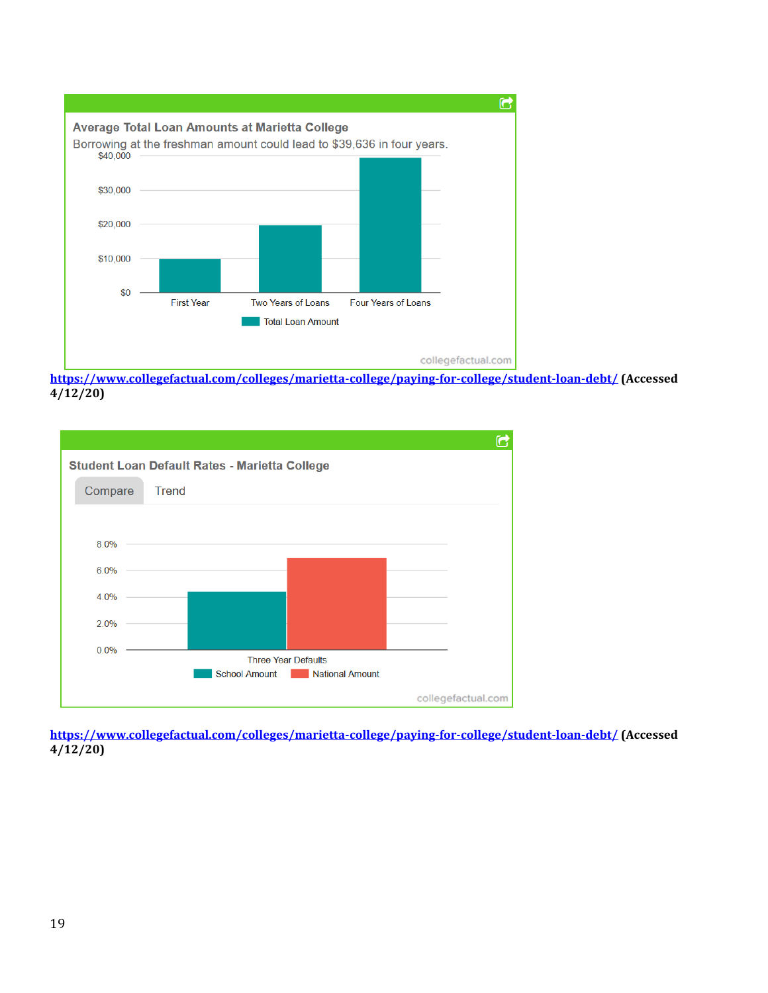

**<https://www.collegefactual.com/colleges/marietta-college/paying-for-college/student-loan-debt/> (Accessed 4/12/20)**



**<https://www.collegefactual.com/colleges/marietta-college/paying-for-college/student-loan-debt/> (Accessed 4/12/20)**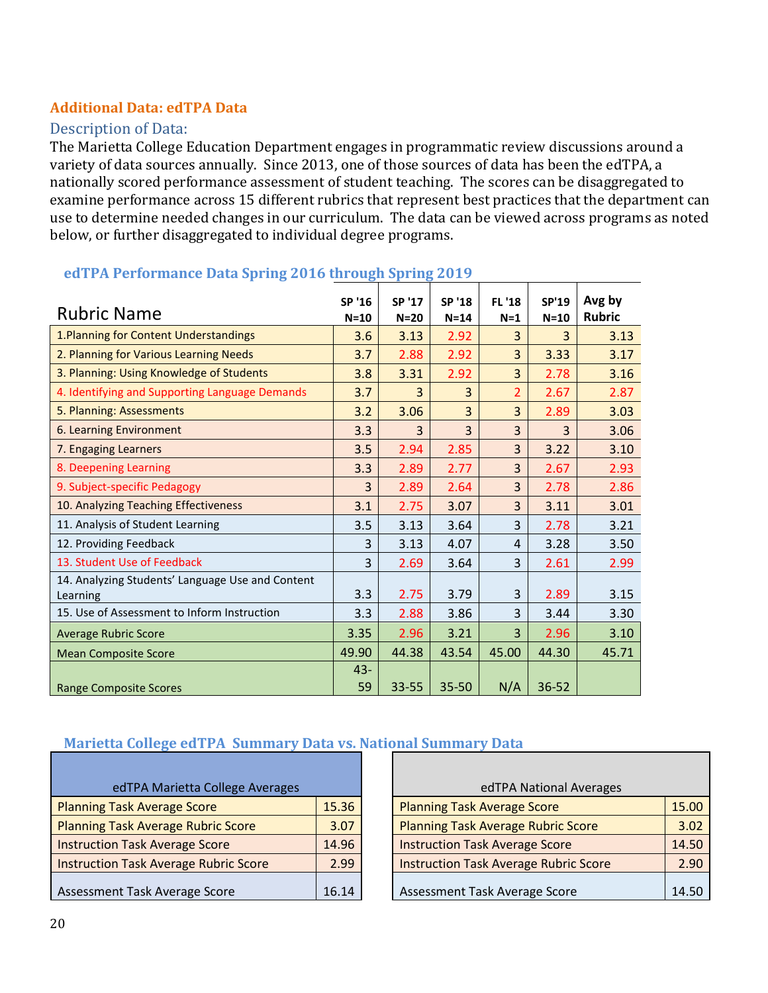## <span id="page-19-0"></span>**Additional Data: edTPA Data**

## Description of Data:

The Marietta College Education Department engages in programmatic review discussions around a variety of data sources annually. Since 2013, one of those sources of data has been the edTPA, a nationally scored performance assessment of student teaching. The scores can be disaggregated to examine performance across 15 different rubrics that represent best practices that the department can use to determine needed changes in our curriculum. The data can be viewed across programs as noted below, or further disaggregated to individual degree programs.

| <b>Rubric Name</b>                                           | SP '16<br>$N=10$ | SP '17<br>$N=20$ | SP '18<br>$N=14$ | <b>FL '18</b><br>$N=1$ | SP'19<br>$N=10$ | Avg by<br><b>Rubric</b> |
|--------------------------------------------------------------|------------------|------------------|------------------|------------------------|-----------------|-------------------------|
| 1. Planning for Content Understandings                       | 3.6              | 3.13             | 2.92             | 3                      | 3               | 3.13                    |
| 2. Planning for Various Learning Needs                       | 3.7              | 2.88             | 2.92             | $\overline{3}$         | 3.33            | 3.17                    |
| 3. Planning: Using Knowledge of Students                     | 3.8              | 3.31             | 2.92             | 3                      | 2.78            | 3.16                    |
| 4. Identifying and Supporting Language Demands               | 3.7              | 3                | 3                | $\overline{2}$         | 2.67            | 2.87                    |
| 5. Planning: Assessments                                     | 3.2              | 3.06             | 3                | 3                      | 2.89            | 3.03                    |
| 6. Learning Environment                                      | 3.3              | 3                | $\overline{3}$   | $\overline{3}$         | 3               | 3.06                    |
| 7. Engaging Learners                                         | 3.5              | 2.94             | 2.85             | 3                      | 3.22            | 3.10                    |
| 8. Deepening Learning                                        | 3.3              | 2.89             | 2.77             | 3                      | 2.67            | 2.93                    |
| 9. Subject-specific Pedagogy                                 | 3                | 2.89             | 2.64             | 3                      | 2.78            | 2.86                    |
| 10. Analyzing Teaching Effectiveness                         | 3.1              | 2.75             | 3.07             | 3                      | 3.11            | 3.01                    |
| 11. Analysis of Student Learning                             | 3.5              | 3.13             | 3.64             | 3                      | 2.78            | 3.21                    |
| 12. Providing Feedback                                       | 3                | 3.13             | 4.07             | 4                      | 3.28            | 3.50                    |
| 13. Student Use of Feedback                                  | 3                | 2.69             | 3.64             | 3                      | 2.61            | 2.99                    |
| 14. Analyzing Students' Language Use and Content<br>Learning | 3.3              | 2.75             | 3.79             | 3                      | 2.89            | 3.15                    |
| 15. Use of Assessment to Inform Instruction                  | 3.3              | 2.88             | 3.86             | 3                      | 3.44            | 3.30                    |
| <b>Average Rubric Score</b>                                  | 3.35             | 2.96             | 3.21             | 3                      | 2.96            | 3.10                    |
| <b>Mean Composite Score</b>                                  | 49.90            | 44.38            | 43.54            | 45.00                  | 44.30           | 45.71                   |
| <b>Range Composite Scores</b>                                | $43 -$<br>59     | 33-55            | 35-50            | N/A                    | 36-52           |                         |

#### **edTPA Performance Data Spring 2016 through Spring 2019**

#### **Marietta College edTPA Summary Data vs. National Summary Data**

| edTPA Marietta College Averages              |       |  | edTPA National Averages                      |
|----------------------------------------------|-------|--|----------------------------------------------|
| <b>Planning Task Average Score</b>           | 15.36 |  | <b>Planning Task Average Score</b>           |
| <b>Planning Task Average Rubric Score</b>    | 3.07  |  | <b>Planning Task Average Rubric Score</b>    |
| <b>Instruction Task Average Score</b>        | 14.96 |  | <b>Instruction Task Average Score</b>        |
| <b>Instruction Task Average Rubric Score</b> | 2.99  |  | <b>Instruction Task Average Rubric Score</b> |
| Assessment Task Average Score                | 16.14 |  | Assessment Task Average Score                |

| edTPA Marietta College Averages              |       | edTPA National Averages                      |       |
|----------------------------------------------|-------|----------------------------------------------|-------|
| <b>Planning Task Average Score</b>           | 15.36 | <b>Planning Task Average Score</b>           | 15.00 |
| <b>Planning Task Average Rubric Score</b>    | 3.07  | <b>Planning Task Average Rubric Score</b>    | 3.02  |
| <b>Instruction Task Average Score</b>        | 14.96 | <b>Instruction Task Average Score</b>        | 14.50 |
| <b>Instruction Task Average Rubric Score</b> | 2.99  | <b>Instruction Task Average Rubric Score</b> | 2.90  |
| Assessment Task Average Score                | 16.14 | Assessment Task Average Score                | 14.50 |